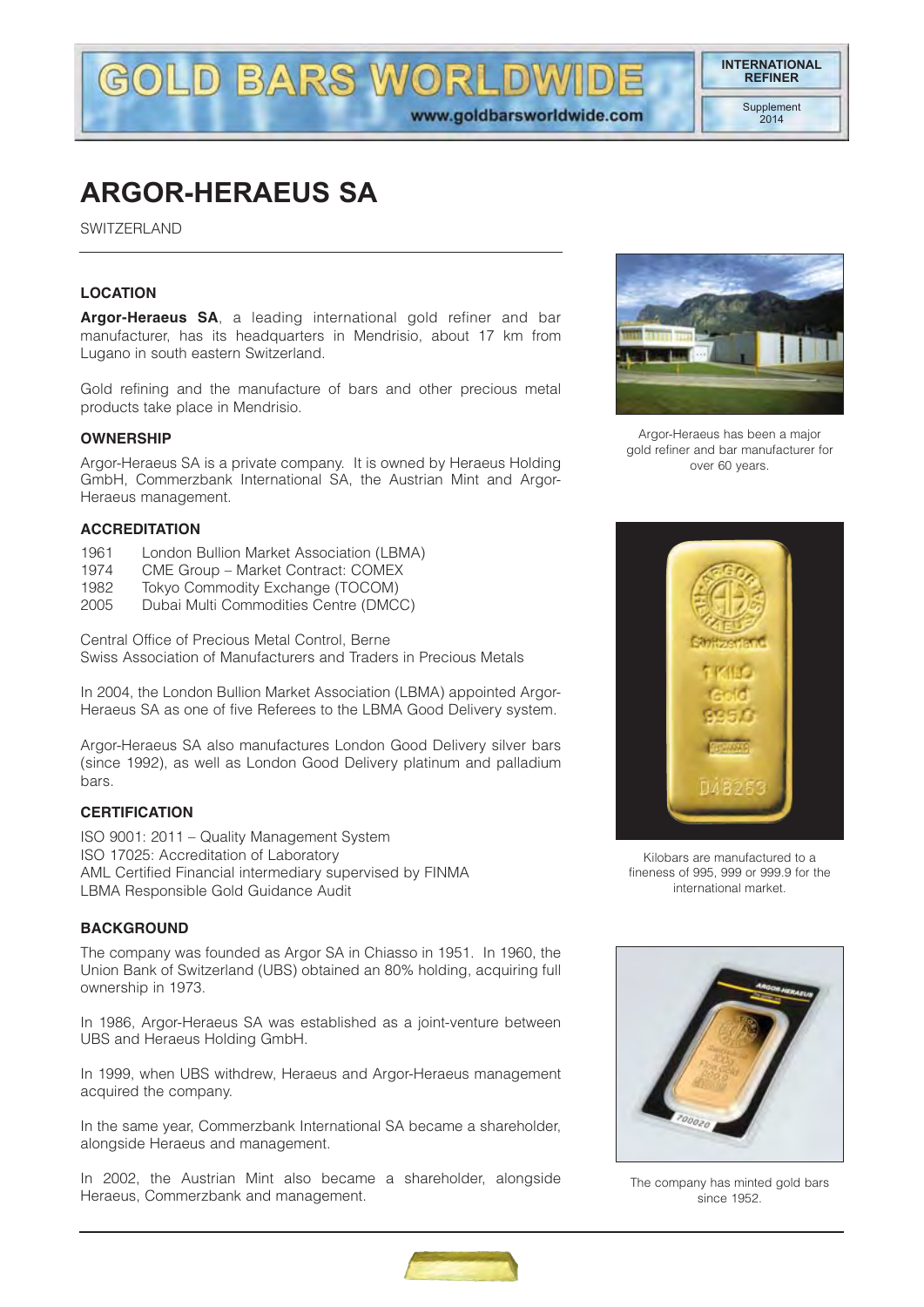www.goldbarsworldwide.com

**DIVA** 

# **ARGOR-HERAEUS SA**

SWITZERLAND

#### **LOCATION**

**Argor-Heraeus SA**, a leading international gold refiner and bar manufacturer, has its headquarters in Mendrisio, about 17 km from Lugano in south eastern Switzerland.

**GOLD BARS WORL** 

Gold refining and the manufacture of bars and other precious metal products take place in Mendrisio.

#### **OWNERSHIP**

Argor-Heraeus SA is a private company. It is owned by Heraeus Holding GmbH, Commerzbank International SA, the Austrian Mint and Argor-Heraeus management.

#### **ACCREDITATION**

- 1961 London Bullion Market Association (LBMA)
- 1974 CME Group Market Contract: COMEX
- 1982 Tokyo Commodity Exchange (TOCOM)
- 2005 Dubai Multi Commodities Centre (DMCC)

Central Office of Precious Metal Control, Berne Swiss Association of Manufacturers and Traders in Precious Metals

In 2004, the London Bullion Market Association (LBMA) appointed Argor-Heraeus SA as one of five Referees to the LBMA Good Delivery system.

Argor-Heraeus SA also manufactures London Good Delivery silver bars (since 1992), as well as London Good Delivery platinum and palladium bars.

#### **CERTIFICATION**

ISO 9001: 2011 – Quality Management System ISO 17025: Accreditation of Laboratory AML Certified Financial intermediary supervised by FINMA LBMA Responsible Gold Guidance Audit

#### **BACKGROUND**

The company was founded as Argor SA in Chiasso in 1951. In 1960, the Union Bank of Switzerland (UBS) obtained an 80% holding, acquiring full ownership in 1973.

In 1986, Argor-Heraeus SA was established as a joint-venture between UBS and Heraeus Holding GmbH.

In 1999, when UBS withdrew, Heraeus and Argor-Heraeus management acquired the company.

In the same year, Commerzbank International SA became a shareholder, alongside Heraeus and management.

In 2002, the Austrian Mint also became a shareholder, alongside Heraeus, Commerzbank and management.



Argor-Heraeus has been a major gold refiner and bar manufacturer for over 60 years.



Kilobars are manufactured to a fineness of 995, 999 or 999.9 for the international market.



The company has minted gold bars since 1952.

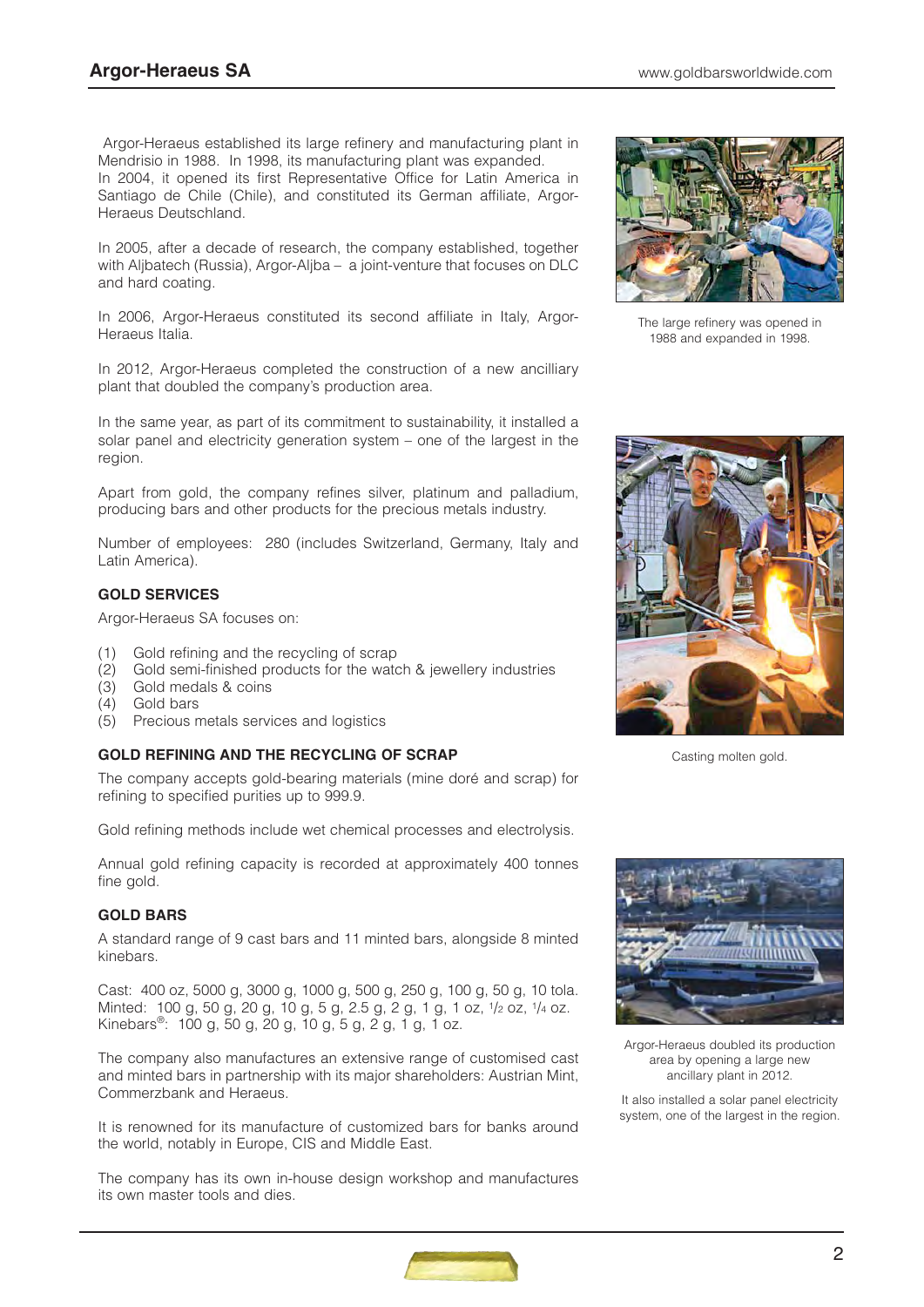Argor-Heraeus established its large refinery and manufacturing plant in Mendrisio in 1988. In 1998, its manufacturing plant was expanded. In 2004, it opened its first Representative Office for Latin America in Santiago de Chile (Chile), and constituted its German affiliate, Argor-Heraeus Deutschland.

In 2005, after a decade of research, the company established, together with Alibatech (Russia), Argor-Aliba – a joint-venture that focuses on DLC and hard coating.

In 2006, Argor-Heraeus constituted its second affiliate in Italy, Argor-Heraeus Italia.

In 2012, Argor-Heraeus completed the construction of a new ancilliary plant that doubled the company's production area.

In the same year, as part of its commitment to sustainability, it installed a solar panel and electricity generation system – one of the largest in the region.

Apart from gold, the company refines silver, platinum and palladium, producing bars and other products for the precious metals industry.

Number of employees: 280 (includes Switzerland, Germany, Italy and Latin America).

## **GOLD SERVICES**

Argor-Heraeus SA focuses on:

- (1) Gold refining and the recycling of scrap
- (2) Gold semi-finished products for the watch & jewellery industries
- (3) Gold medals & coins
- (4) Gold bars
- (5) Precious metals services and logistics

## **GOLD REFINING AND THE RECYCLING OF SCRAP**

The company accepts gold-bearing materials (mine doré and scrap) for refining to specified purities up to 999.9.

Gold refining methods include wet chemical processes and electrolysis.

Annual gold refining capacity is recorded at approximately 400 tonnes fine gold.

## **GOLD BARS**

A standard range of 9 cast bars and 11 minted bars, alongside 8 minted kinebars.

Cast: 400 oz, 5000 g, 3000 g, 1000 g, 500 g, 250 g, 100 g, 50 g, 10 tola. Minted: 100 g, 50 g, 20 g, 10 g, 5 g, 2.5 g, 2 g, 1 g, 1 oz, 1/2 oz, 1/4 oz. Kinebars<sup>®</sup>: 100 g, 50 g, 20 g, 10 g, 5 g, 2 g, 1 g, 1 oz.

The company also manufactures an extensive range of customised cast and minted bars in partnership with its major shareholders: Austrian Mint, Commerzbank and Heraeus.

It is renowned for its manufacture of customized bars for banks around the world, notably in Europe, CIS and Middle East.

The company has its own in-house design workshop and manufactures its own master tools and dies.



The large refinery was opened in 1988 and expanded in 1998.



Casting molten gold.



Argor-Heraeus doubled its production area by opening a large new ancillary plant in 2012.

It also installed a solar panel electricity system, one of the largest in the region.

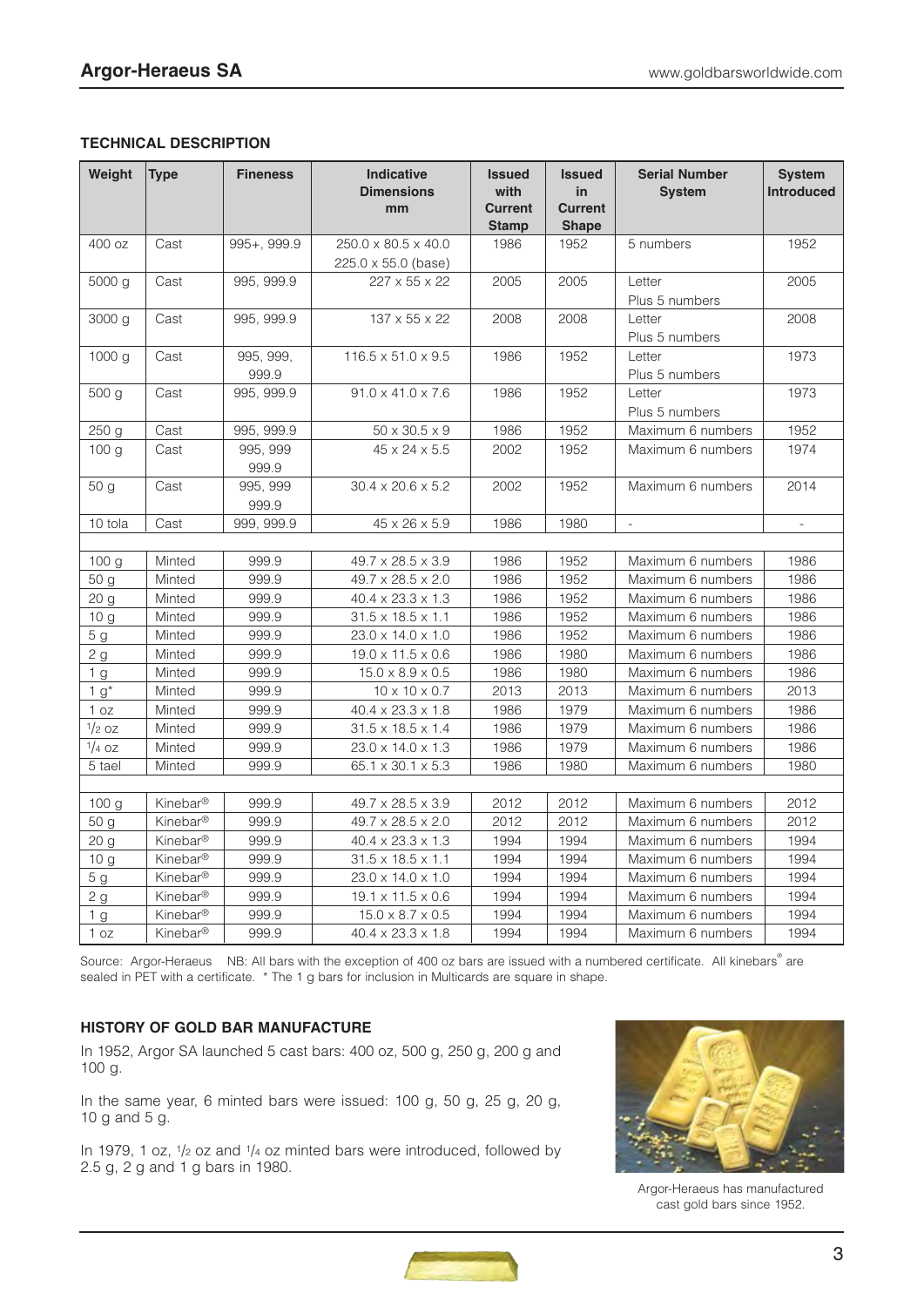## **TECHNICAL DESCRIPTION**

| Weight           | <b>Type</b>          | <b>Fineness</b>    | <b>Indicative</b><br><b>Dimensions</b><br>mm | <b>Issued</b><br>with<br><b>Current</b><br><b>Stamp</b> | <b>Issued</b><br>in<br><b>Current</b><br><b>Shape</b> | <b>Serial Number</b><br><b>System</b> | <b>System</b><br><b>Introduced</b> |
|------------------|----------------------|--------------------|----------------------------------------------|---------------------------------------------------------|-------------------------------------------------------|---------------------------------------|------------------------------------|
| 400 oz           | Cast                 | $995 + 999.9$      | 250.0 x 80.5 x 40.0<br>225.0 x 55.0 (base)   | 1986                                                    | 1952                                                  | 5 numbers                             | 1952                               |
| 5000 g           | Cast                 | 995, 999.9         | 227 x 55 x 22                                | 2005                                                    | 2005                                                  | Letter<br>Plus 5 numbers              | 2005                               |
| 3000 g           | Cast                 | 995, 999.9         | 137 x 55 x 22                                | 2008                                                    | 2008                                                  | Letter<br>Plus 5 numbers              | 2008                               |
| 1000 g           | Cast                 | 995, 999,<br>999.9 | $116.5 \times 51.0 \times 9.5$               | 1986                                                    | 1952                                                  | Letter<br>Plus 5 numbers              | 1973                               |
| 500 g            | Cast                 | 995, 999.9         | $91.0 \times 41.0 \times 7.6$                | 1986                                                    | 1952                                                  | Letter<br>Plus 5 numbers              | 1973                               |
| 250 g            | Cast                 | 995, 999.9         | $50 \times 30.5 \times 9$                    | 1986                                                    | 1952                                                  | Maximum 6 numbers                     | 1952                               |
| 100 <sub>q</sub> | Cast                 | 995, 999<br>999.9  | 45 x 24 x 5.5                                | 2002                                                    | 1952                                                  | Maximum 6 numbers                     | 1974                               |
| 50 g             | Cast                 | 995, 999<br>999.9  | $30.4 \times 20.6 \times 5.2$                | 2002                                                    | 1952                                                  | Maximum 6 numbers                     | 2014                               |
| 10 tola          | Cast                 | 999, 999.9         | 45 x 26 x 5.9                                | 1986                                                    | 1980                                                  | $\omega$                              | $\overline{\phantom{a}}$           |
|                  |                      |                    |                                              |                                                         |                                                       |                                       |                                    |
| 100 <sub>g</sub> | Minted               | 999.9              | 49.7 x 28.5 x 3.9                            | 1986                                                    | 1952                                                  | Maximum 6 numbers                     | 1986                               |
| 50 g             | Minted               | 999.9              | 49.7 x 28.5 x 2.0                            | 1986                                                    | 1952                                                  | Maximum 6 numbers                     | 1986                               |
| 20 g             | Minted               | 999.9              | 40.4 x 23.3 x 1.3                            | 1986                                                    | 1952                                                  | Maximum 6 numbers                     | 1986                               |
| 10 <sub>g</sub>  | Minted               | 999.9              | $31.5 \times 18.5 \times 1.1$                | 1986                                                    | 1952                                                  | Maximum 6 numbers                     | 1986                               |
| 5 <sub>g</sub>   | Minted               | 999.9              | $23.0 \times 14.0 \times 1.0$                | 1986                                                    | 1952                                                  | Maximum 6 numbers                     | 1986                               |
| 2g               | Minted               | 999.9              | $19.0 \times 11.5 \times 0.6$                | 1986                                                    | 1980                                                  | Maximum 6 numbers                     | 1986                               |
| 1 <sub>q</sub>   | Minted               | 999.9              | $15.0 \times 8.9 \times 0.5$                 | 1986                                                    | 1980                                                  | Maximum 6 numbers                     | 1986                               |
| $1 g^*$          | Minted               | 999.9              | $10 \times 10 \times 0.7$                    | 2013                                                    | 2013                                                  | Maximum 6 numbers                     | 2013                               |
| 1 oz             | Minted               | 999.9              | 40.4 x 23.3 x 1.8                            | 1986                                                    | 1979                                                  | Maximum 6 numbers                     | 1986                               |
| $1/2$ OZ         | Minted               | 999.9              | $31.5 \times 18.5 \times 1.4$                | 1986                                                    | 1979                                                  | Maximum 6 numbers                     | 1986                               |
| $1/4$ OZ         | Minted               | 999.9              | 23.0 x 14.0 x 1.3                            | 1986                                                    | 1979                                                  | Maximum 6 numbers                     | 1986                               |
| 5 tael           | Minted               | 999.9              | 65.1 x 30.1 x 5.3                            | 1986                                                    | 1980                                                  | Maximum 6 numbers                     | 1980                               |
| 100 <sub>g</sub> | Kinebar <sup>®</sup> | 999.9              | 49.7 x 28.5 x 3.9                            | 2012                                                    | 2012                                                  | Maximum 6 numbers                     | 2012                               |
| 50 g             | Kinebar®             | 999.9              | 49.7 x 28.5 x 2.0                            | 2012                                                    | 2012                                                  | Maximum 6 numbers                     | 2012                               |
| 20 <sub>g</sub>  | Kinebar <sup>®</sup> | 999.9              | $40.4 \times 23.3 \times 1.3$                | 1994                                                    | 1994                                                  | Maximum 6 numbers                     | 1994                               |
| 10 <sub>g</sub>  | Kinebar <sup>®</sup> | 999.9              | $31.5 \times 18.5 \times 1.1$                | 1994                                                    | 1994                                                  | Maximum 6 numbers                     | 1994                               |
| 5 <sub>g</sub>   | Kinebar <sup>®</sup> | 999.9              | $23.0 \times 14.0 \times 1.0$                | 1994                                                    | 1994                                                  | Maximum 6 numbers                     | 1994                               |
| 2g               | Kinebar®             | 999.9              | $19.1 \times 11.5 \times 0.6$                | 1994                                                    | 1994                                                  | Maximum 6 numbers                     | 1994                               |
| 1 <sub>g</sub>   | Kinebar®             | 999.9              | $15.0 \times 8.7 \times 0.5$                 | 1994                                                    | 1994                                                  | Maximum 6 numbers                     | 1994                               |
| 1 oz             | Kinebar <sup>®</sup> | 999.9              | 40.4 x 23.3 x 1.8                            | 1994                                                    | 1994                                                  | Maximum 6 numbers                     | 1994                               |

Source: Argor-Heraeus NB: All bars with the exception of 400 oz bars are issued with a numbered certificate. All kinebars<sup>®</sup> are sealed in PET with a certificate. \* The 1 g bars for inclusion in Multicards are square in shape.

## **HISTORY OF GOLD BAR MANUFACTURE**

In 1952, Argor SA launched 5 cast bars: 400 oz, 500 g, 250 g, 200 g and 100 g.

In the same year, 6 minted bars were issued: 100 g, 50 g, 25 g, 20 g, 10 g and 5 g.

In 1979, 1 oz, 1/2 oz and 1/4 oz minted bars were introduced, followed by 2.5 g, 2 g and 1 g bars in 1980.



Argor-Heraeus has manufactured cast gold bars since 1952.

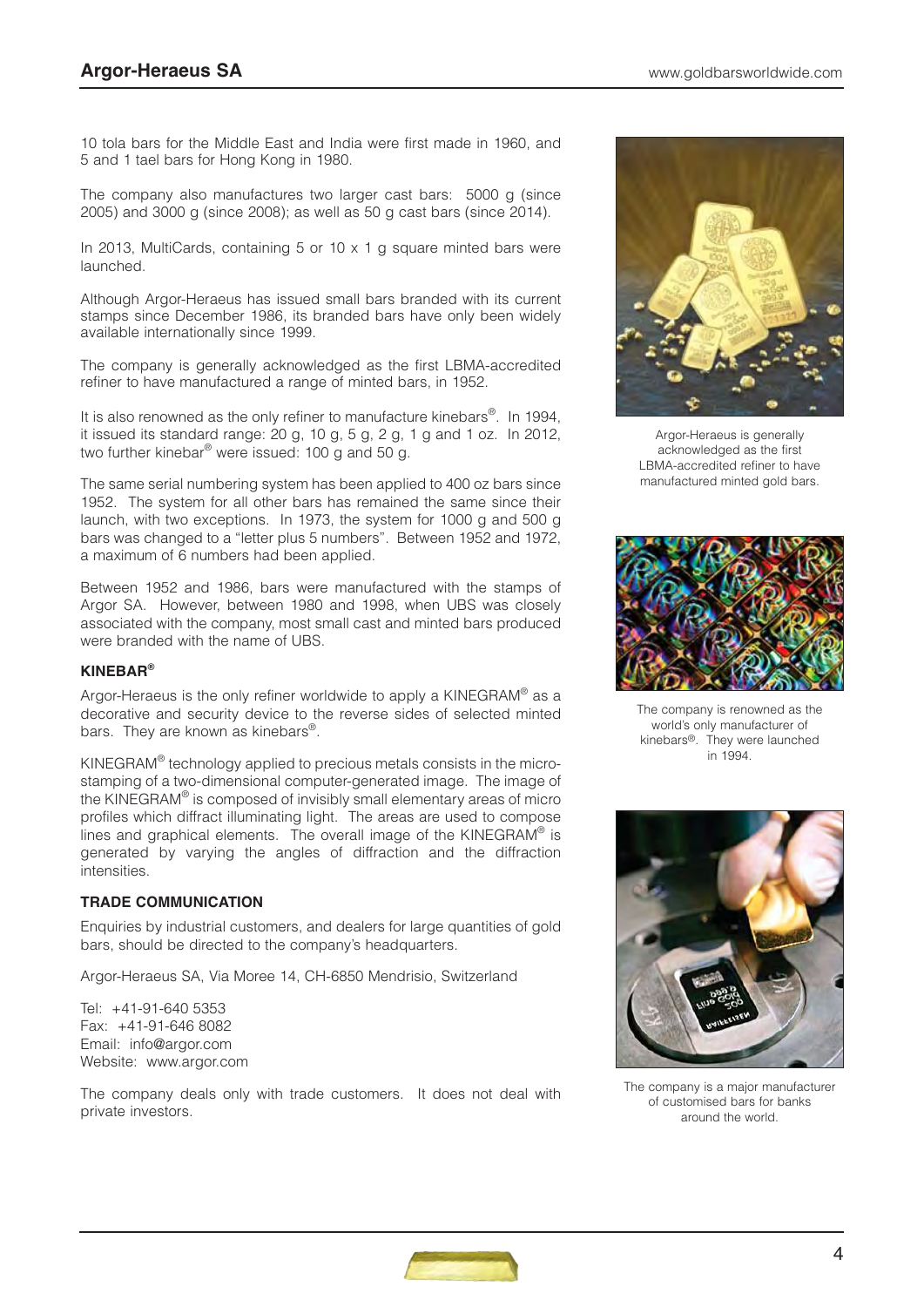10 tola bars for the Middle East and India were first made in 1960, and 5 and 1 tael bars for Hong Kong in 1980.

The company also manufactures two larger cast bars: 5000 g (since 2005) and 3000 g (since 2008); as well as 50 g cast bars (since 2014).

In 2013, MultiCards, containing 5 or 10  $\times$  1 g square minted bars were launched.

Although Argor-Heraeus has issued small bars branded with its current stamps since December 1986, its branded bars have only been widely available internationally since 1999.

The company is generally acknowledged as the first LBMA-accredited refiner to have manufactured a range of minted bars, in 1952.

It is also renowned as the only refiner to manufacture kinebars<sup>®</sup>. In 1994, it issued its standard range:  $20$  g,  $10$  g,  $5$  g,  $2$  g,  $1$  g and  $1$  oz. In 2012, two further kinebar® were issued: 100 g and 50 g.

The same serial numbering system has been applied to 400 oz bars since 1952. The system for all other bars has remained the same since their launch, with two exceptions. In 1973, the system for 1000 g and 500 g bars was changed to a "letter plus 5 numbers". Between 1952 and 1972, a maximum of 6 numbers had been applied.

Between 1952 and 1986, bars were manufactured with the stamps of Argor SA. However, between 1980 and 1998, when UBS was closely associated with the company, most small cast and minted bars produced were branded with the name of UBS.

## **KINEBAR®**

Argor-Heraeus is the only refiner worldwide to apply a KINEGRAM<sup>®</sup> as a decorative and security device to the reverse sides of selected minted bars. They are known as kinebars®.

KINEGRAM® technology applied to precious metals consists in the microstamping of a two-dimensional computer-generated image. The image of the KINEGRAM® is composed of invisibly small elementary areas of micro profiles which diffract illuminating light. The areas are used to compose lines and graphical elements. The overall image of the  $KINEGRAM<sup>®</sup>$  is generated by varying the angles of diffraction and the diffraction intensities.

#### **TRADE COMMUNICATION**

Enquiries by industrial customers, and dealers for large quantities of gold bars, should be directed to the company's headquarters.

Argor-Heraeus SA, Via Moree 14, CH-6850 Mendrisio, Switzerland

Tel: +41-91-640 5353 Fax: +41-91-646 8082 Email: info@argor.com Website: www.argor.com

The company deals only with trade customers. It does not deal with private investors.



Argor-Heraeus is generally acknowledged as the first LBMA-accredited refiner to have manufactured minted gold bars.



The company is renowned as the world's only manufacturer of kinebars®. They were launched in 1994.



The company is a major manufacturer of customised bars for banks around the world.

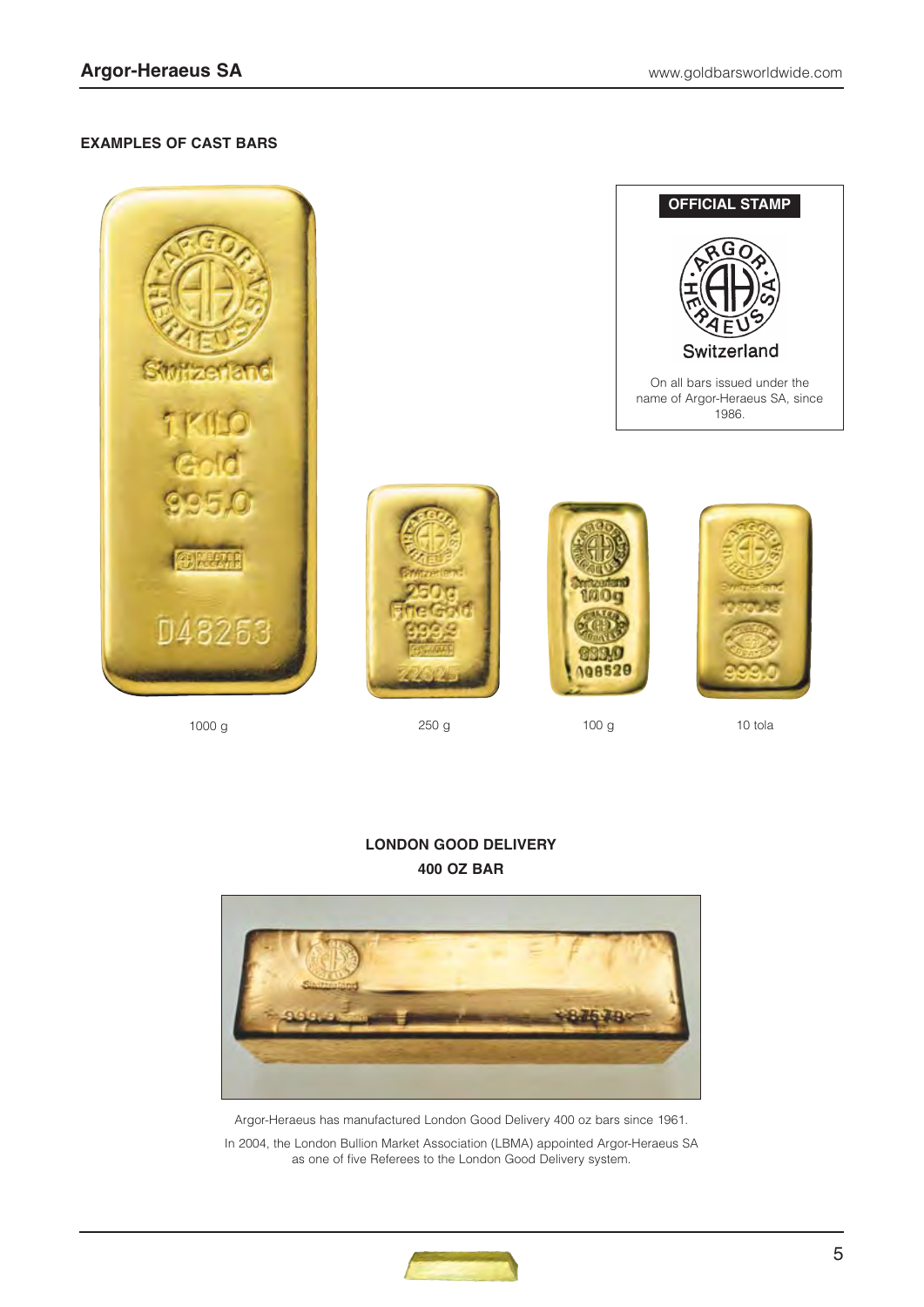## **EXAMPLES OF CAST BARS**







1000 g 250 g 100 g 10 tola





## **LONDON GOOD DELIVERY 400 OZ BAR**



Argor-Heraeus has manufactured London Good Delivery 400 oz bars since 1961.

In 2004, the London Bullion Market Association (LBMA) appointed Argor-Heraeus SA as one of five Referees to the London Good Delivery system.

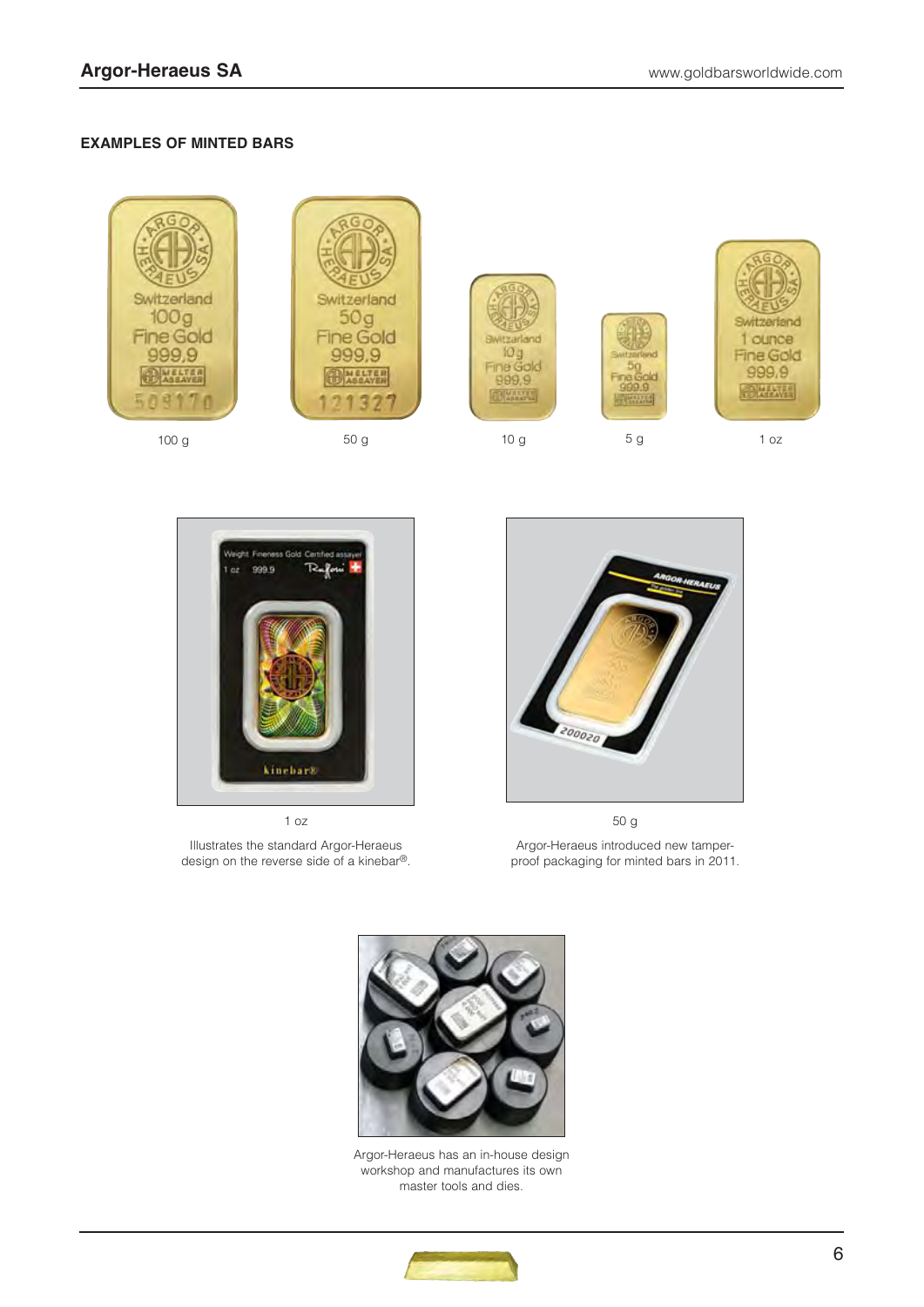## **EXAMPLES OF MINTED BARS**





1 oz

Illustrates the standard Argor-Heraeus design on the reverse side of a kinebar®.



Argor-Heraeus introduced new tamperproof packaging for minted bars in 2011.



Argor-Heraeus has an in-house design workshop and manufactures its own master tools and dies.

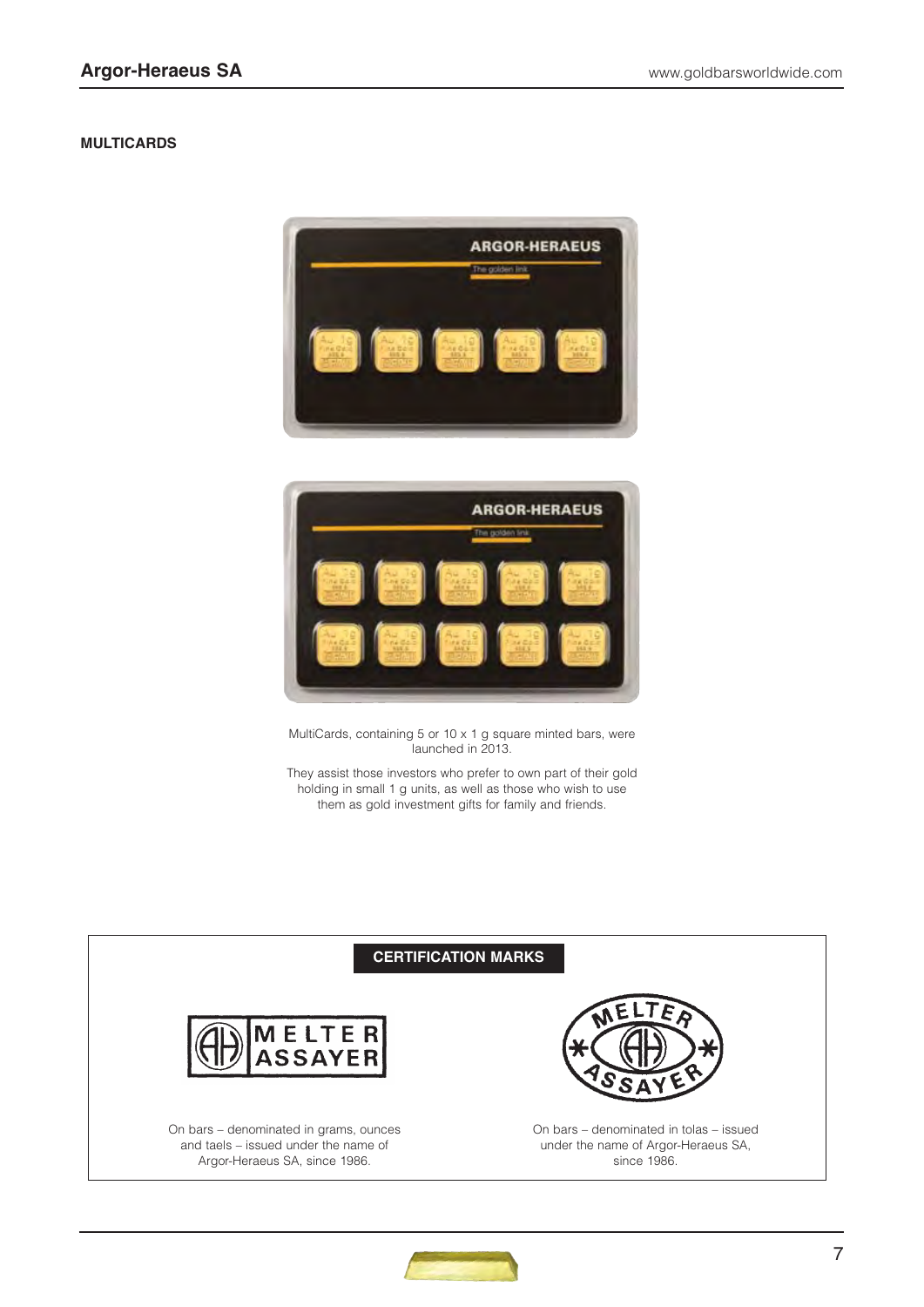#### **MULTICARDS**





MultiCards, containing 5 or 10 x 1 g square minted bars, were launched in 2013.

They assist those investors who prefer to own part of their gold holding in small 1 g units, as well as those who wish to use them as gold investment gifts for family and friends.